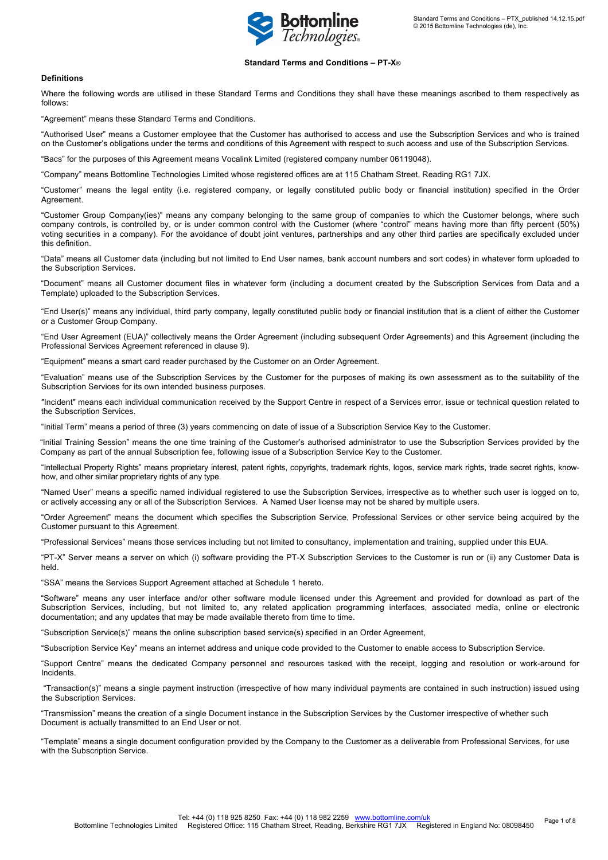

# **Standard Terms and Conditions – PT-X®**

## **Definitions**

Where the following words are utilised in these Standard Terms and Conditions they shall have these meanings ascribed to them respectively as follows:

"Agreement" means these Standard Terms and Conditions.

"Authorised User" means a Customer employee that the Customer has authorised to access and use the Subscription Services and who is trained on the Customer's obligations under the terms and conditions of this Agreement with respect to such access and use of the Subscription Services.

"Bacs" for the purposes of this Agreement means Vocalink Limited (registered company number 06119048).

"Company" means Bottomline Technologies Limited whose registered offices are at 115 Chatham Street, Reading RG1 7JX.

"Customer" means the legal entity (i.e. registered company, or legally constituted public body or financial institution) specified in the Order Agreement.

"Customer Group Company(ies)" means any company belonging to the same group of companies to which the Customer belongs, where such company controls, is controlled by, or is under common control with the Customer (where "control" means having more than fifty percent (50%) voting securities in a company). For the avoidance of doubt joint ventures, partnerships and any other third parties are specifically excluded under this definition.

"Data" means all Customer data (including but not limited to End User names, bank account numbers and sort codes) in whatever form uploaded to the Subscription Services.

"Document" means all Customer document files in whatever form (including a document created by the Subscription Services from Data and a Template) uploaded to the Subscription Services.

"End User(s)" means any individual, third party company, legally constituted public body or financial institution that is a client of either the Customer or a Customer Group Company.

"End User Agreement (EUA)" collectively means the Order Agreement (including subsequent Order Agreements) and this Agreement (including the Professional Services Agreement referenced in clause 9).

"Equipment" means a smart card reader purchased by the Customer on an Order Agreement.

"Evaluation" means use of the Subscription Services by the Customer for the purposes of making its own assessment as to the suitability of the Subscription Services for its own intended business purposes.

″Incident″ means each individual communication received by the Support Centre in respect of a Services error, issue or technical question related to the Subscription Services.

"Initial Term" means a period of three (3) years commencing on date of issue of a Subscription Service Key to the Customer.

"Initial Training Session" means the one time training of the Customer's authorised administrator to use the Subscription Services provided by the Company as part of the annual Subscription fee, following issue of a Subscription Service Key to the Customer.

"Intellectual Property Rights" means proprietary interest, patent rights, copyrights, trademark rights, logos, service mark rights, trade secret rights, knowhow, and other similar proprietary rights of any type.

"Named User" means a specific named individual registered to use the Subscription Services, irrespective as to whether such user is logged on to, or actively accessing any or all of the Subscription Services. A Named User license may not be shared by multiple users.

"Order Agreement" means the document which specifies the Subscription Service, Professional Services or other service being acquired by the Customer pursuant to this Agreement.

"Professional Services" means those services including but not limited to consultancy, implementation and training, supplied under this EUA.

"PT-X" Server means a server on which (i) software providing the PT-X Subscription Services to the Customer is run or (ii) any Customer Data is held.

"SSA" means the Services Support Agreement attached at Schedule 1 hereto.

"Software" means any user interface and/or other software module licensed under this Agreement and provided for download as part of the Subscription Services, including, but not limited to, any related application programming interfaces, associated media, online or electronic documentation; and any updates that may be made available thereto from time to time.

"Subscription Service(s)" means the online subscription based service(s) specified in an Order Agreement,

"Subscription Service Key" means an internet address and unique code provided to the Customer to enable access to Subscription Service.

"Support Centre" means the dedicated Company personnel and resources tasked with the receipt, logging and resolution or work-around for Incidents.

"Transaction(s)" means a single payment instruction (irrespective of how many individual payments are contained in such instruction) issued using the Subscription Services.

"Transmission" means the creation of a single Document instance in the Subscription Services by the Customer irrespective of whether such Document is actually transmitted to an End User or not.

"Template" means a single document configuration provided by the Company to the Customer as a deliverable from Professional Services, for use with the Subscription Service.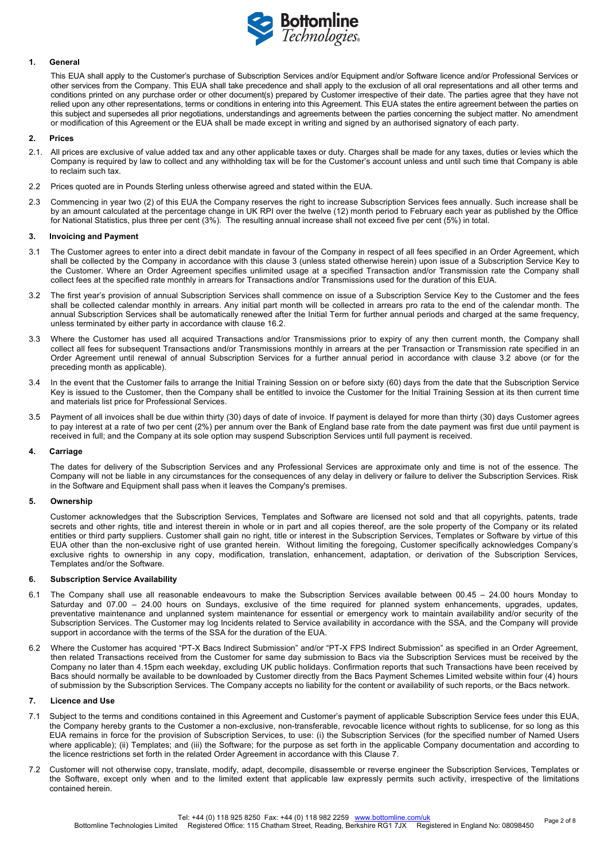

## **1. General**

This EUA shall apply to the Customer's purchase of Subscription Services and/or Equipment and/or Software licence and/or Professional Services or other services from the Company. This EUA shall take precedence and shall apply to the exclusion of all oral representations and all other terms and conditions printed on any purchase order or other document(s) prepared by Customer irrespective of their date. The parties agree that they have not relied upon any other representations, terms or conditions in entering into this Agreement. This EUA states the entire agreement between the parties on this subject and supersedes all prior negotiations, understandings and agreements between the parties concerning the subject matter. No amendment or modification of this Agreement or the EUA shall be made except in writing and signed by an authorised signatory of each party.

## **2. Prices**

- 2.1. All prices are exclusive of value added tax and any other applicable taxes or duty. Charges shall be made for any taxes, duties or levies which the Company is required by law to collect and any withholding tax will be for the Customer's account unless and until such time that Company is able to reclaim such tax.
- 2.2 Prices quoted are in Pounds Sterling unless otherwise agreed and stated within the EUA.
- 2.3 Commencing in year two (2) of this EUA the Company reserves the right to increase Subscription Services fees annually. Such increase shall be by an amount calculated at the percentage change in UK RPI over the twelve (12) month period to February each year as published by the Office for National Statistics, plus three per cent (3%). The resulting annual increase shall not exceed five per cent (5%) in total.

#### **3. Invoicing and Payment**

- 3.1 The Customer agrees to enter into a direct debit mandate in favour of the Company in respect of all fees specified in an Order Agreement, which shall be collected by the Company in accordance with this clause 3 (unless stated otherwise herein) upon issue of a Subscription Service Key to the Customer. Where an Order Agreement specifies unlimited usage at a specified Transaction and/or Transmission rate the Company shall collect fees at the specified rate monthly in arrears for Transactions and/or Transmissions used for the duration of this EUA.
- 3.2 The first year's provision of annual Subscription Services shall commence on issue of a Subscription Service Key to the Customer and the fees shall be collected calendar monthly in arrears. Any initial part month will be collected in arrears pro rata to the end of the calendar month. The annual Subscription Services shall be automatically renewed after the Initial Term for further annual periods and charged at the same frequency, unless terminated by either party in accordance with clause 16.2.
- 3.3 Where the Customer has used all acquired Transactions and/or Transmissions prior to expiry of any then current month, the Company shall collect all fees for subsequent Transactions and/or Transmissions monthly in arrears at the per Transaction or Transmission rate specified in an Order Agreement until renewal of annual Subscription Services for a further annual period in accordance with clause 3.2 above (or for the preceding month as applicable).
- 3.4 In the event that the Customer fails to arrange the Initial Training Session on or before sixty (60) days from the date that the Subscription Service Key is issued to the Customer, then the Company shall be entitled to invoice the Customer for the Initial Training Session at its then current time and materials list price for Professional Services.
- 3.5 Payment of all invoices shall be due within thirty (30) days of date of invoice. If payment is delayed for more than thirty (30) days Customer agrees to pay interest at a rate of two per cent (2%) per annum over the Bank of England base rate from the date payment was first due until payment is received in full; and the Company at its sole option may suspend Subscription Services until full payment is received.

# **4. Carriage**

The dates for delivery of the Subscription Services and any Professional Services are approximate only and time is not of the essence. The Company will not be liable in any circumstances for the consequences of any delay in delivery or failure to deliver the Subscription Services. Risk in the Software and Equipment shall pass when it leaves the Company's premises.

#### **5. Ownership**

Customer acknowledges that the Subscription Services, Templates and Software are licensed not sold and that all copyrights, patents, trade secrets and other rights, title and interest therein in whole or in part and all copies thereof, are the sole property of the Company or its related entities or third party suppliers. Customer shall gain no right, title or interest in the Subscription Services, Templates or Software by virtue of this EUA other than the non-exclusive right of use granted herein. Without limiting the foregoing, Customer specifically acknowledges Company's exclusive rights to ownership in any copy, modification, translation, enhancement, adaptation, or derivation of the Subscription Services, Templates and/or the Software.

# **6. Subscription Service Availability**

- 6.1 The Company shall use all reasonable endeavours to make the Subscription Services available between 00.45 24.00 hours Monday to Saturday and 07.00 – 24.00 hours on Sundays, exclusive of the time required for planned system enhancements, upgrades, updates, preventative maintenance and unplanned system maintenance for essential or emergency work to maintain availability and/or security of the Subscription Services. The Customer may log Incidents related to Service availability in accordance with the SSA, and the Company will provide support in accordance with the terms of the SSA for the duration of the EUA.
- 6.2 Where the Customer has acquired "PT-X Bacs Indirect Submission" and/or "PT-X FPS Indirect Submission" as specified in an Order Agreement, then related Transactions received from the Customer for same day submission to Bacs via the Subscription Services must be received by the Company no later than 4.15pm each weekday, excluding UK public holidays. Confirmation reports that such Transactions have been received by Bacs should normally be available to be downloaded by Customer directly from the Bacs Payment Schemes Limited website within four (4) hours of submission by the Subscription Services. The Company accepts no liability for the content or availability of such reports, or the Bacs network.

## **7. Licence and Use**

- 7.1 Subject to the terms and conditions contained in this Agreement and Customer's payment of applicable Subscription Service fees under this EUA, the Company hereby grants to the Customer a non-exclusive, non-transferable, revocable licence without rights to sublicense, for so long as this EUA remains in force for the provision of Subscription Services, to use: (i) the Subscription Services (for the specified number of Named Users where applicable); (ii) Templates; and (iii) the Software; for the purpose as set forth in the applicable Company documentation and according to the licence restrictions set forth in the related Order Agreement in accordance with this Clause 7.
- 7.2 Customer will not otherwise copy, translate, modify, adapt, decompile, disassemble or reverse engineer the Subscription Services, Templates or the Software, except only when and to the limited extent that applicable law expressly permits such activity, irrespective of the limitations contained herein.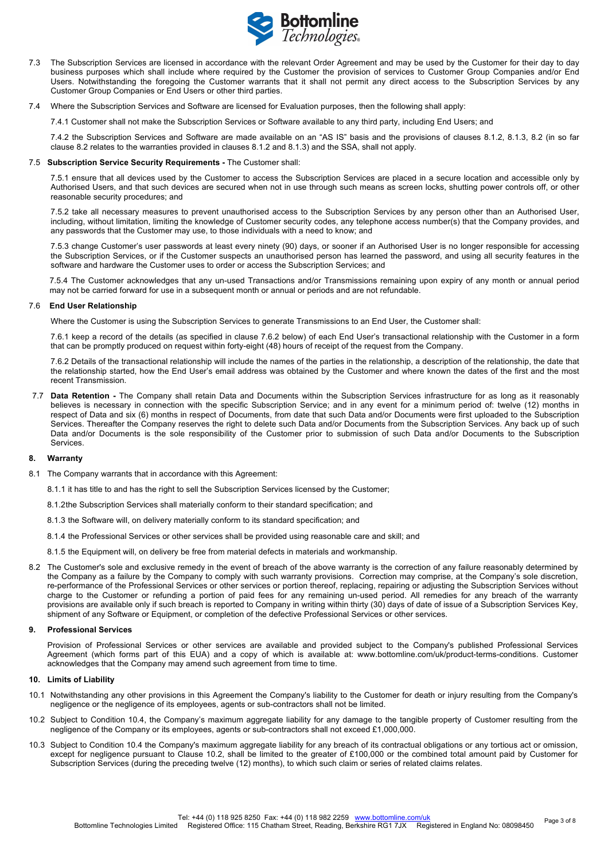

- 7.3 The Subscription Services are licensed in accordance with the relevant Order Agreement and may be used by the Customer for their day to day business purposes which shall include where required by the Customer the provision of services to Customer Group Companies and/or End Users. Notwithstanding the foregoing the Customer warrants that it shall not permit any direct access to the Subscription Services by any Customer Group Companies or End Users or other third parties.
- 7.4 Where the Subscription Services and Software are licensed for Evaluation purposes, then the following shall apply:

7.4.1 Customer shall not make the Subscription Services or Software available to any third party, including End Users; and

7.4.2 the Subscription Services and Software are made available on an "AS IS" basis and the provisions of clauses 8.1.2, 8.1.3, 8.2 (in so far clause 8.2 relates to the warranties provided in clauses 8.1.2 and 8.1.3) and the SSA, shall not apply.

#### 7.5 **Subscription Service Security Requirements -** The Customer shall:

7.5.1 ensure that all devices used by the Customer to access the Subscription Services are placed in a secure location and accessible only by Authorised Users, and that such devices are secured when not in use through such means as screen locks, shutting power controls off, or other reasonable security procedures; and

7.5.2 take all necessary measures to prevent unauthorised access to the Subscription Services by any person other than an Authorised User, including, without limitation, limiting the knowledge of Customer security codes, any telephone access number(s) that the Company provides, and any passwords that the Customer may use, to those individuals with a need to know; and

7.5.3 change Customer's user passwords at least every ninety (90) days, or sooner if an Authorised User is no longer responsible for accessing the Subscription Services, or if the Customer suspects an unauthorised person has learned the password, and using all security features in the software and hardware the Customer uses to order or access the Subscription Services; and

7.5.4 The Customer acknowledges that any un-used Transactions and/or Transmissions remaining upon expiry of any month or annual period may not be carried forward for use in a subsequent month or annual or periods and are not refundable.

### 7.6 **End User Relationship**

Where the Customer is using the Subscription Services to generate Transmissions to an End User, the Customer shall:

7.6.1 keep a record of the details (as specified in clause 7.6.2 below) of each End User's transactional relationship with the Customer in a form that can be promptly produced on request within forty-eight (48) hours of receipt of the request from the Company.

7.6.2 Details of the transactional relationship will include the names of the parties in the relationship, a description of the relationship, the date that the relationship started, how the End User's email address was obtained by the Customer and where known the dates of the first and the most recent Transmission.

7.7 **Data Retention -** The Company shall retain Data and Documents within the Subscription Services infrastructure for as long as it reasonably believes is necessary in connection with the specific Subscription Service; and in any event for a minimum period of: twelve (12) months in respect of Data and six (6) months in respect of Documents, from date that such Data and/or Documents were first uploaded to the Subscription Services. Thereafter the Company reserves the right to delete such Data and/or Documents from the Subscription Services. Any back up of such Data and/or Documents is the sole responsibility of the Customer prior to submission of such Data and/or Documents to the Subscription **Services** 

# **8. Warranty**

8.1 The Company warrants that in accordance with this Agreement:

8.1.1 it has title to and has the right to sell the Subscription Services licensed by the Customer;

- 8.1.2the Subscription Services shall materially conform to their standard specification; and
- 8.1.3 the Software will, on delivery materially conform to its standard specification; and

8.1.4 the Professional Services or other services shall be provided using reasonable care and skill; and

- 8.1.5 the Equipment will, on delivery be free from material defects in materials and workmanship.
- 8.2 The Customer's sole and exclusive remedy in the event of breach of the above warranty is the correction of any failure reasonably determined by the Company as a failure by the Company to comply with such warranty provisions. Correction may comprise, at the Company's sole discretion, re-performance of the Professional Services or other services or portion thereof, replacing, repairing or adjusting the Subscription Services without charge to the Customer or refunding a portion of paid fees for any remaining un-used period. All remedies for any breach of the warranty provisions are available only if such breach is reported to Company in writing within thirty (30) days of date of issue of a Subscription Services Key, shipment of any Software or Equipment, or completion of the defective Professional Services or other services.

# **9. Professional Services**

Provision of Professional Services or other services are available and provided subject to the Company's published Professional Services Agreement (which forms part of this EUA) and a copy of which is available at: www.bottomline.com/uk/product-terms-conditions. Customer acknowledges that the Company may amend such agreement from time to time.

#### **10. Limits of Liability**

- 10.1 Notwithstanding any other provisions in this Agreement the Company's liability to the Customer for death or injury resulting from the Company's negligence or the negligence of its employees, agents or sub-contractors shall not be limited.
- 10.2 Subject to Condition 10.4, the Company's maximum aggregate liability for any damage to the tangible property of Customer resulting from the negligence of the Company or its employees, agents or sub-contractors shall not exceed £1,000,000.
- 10.3 Subject to Condition 10.4 the Company's maximum aggregate liability for any breach of its contractual obligations or any tortious act or omission, except for negligence pursuant to Clause 10.2, shall be limited to the greater of £100,000 or the combined total amount paid by Customer for Subscription Services (during the preceding twelve (12) months), to which such claim or series of related claims relates.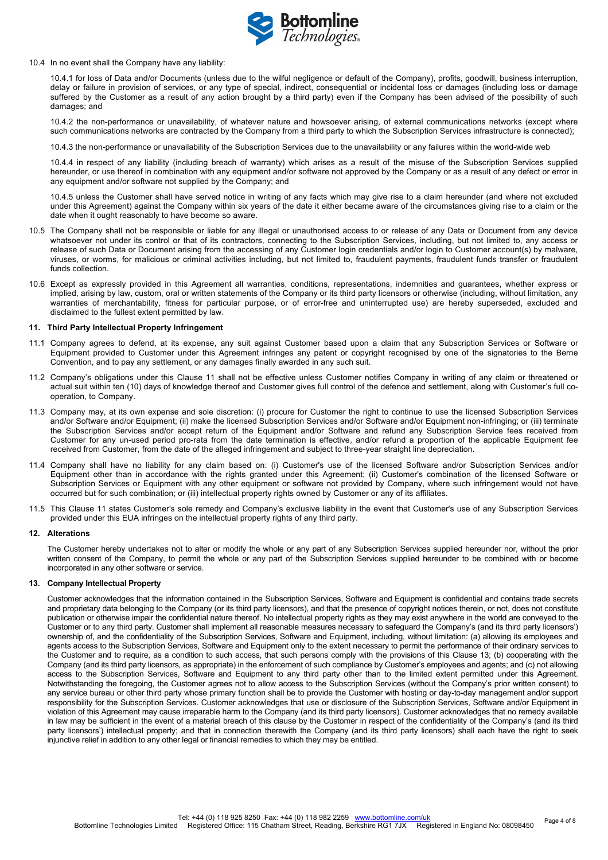

10.4 In no event shall the Company have any liability:

10.4.1 for loss of Data and/or Documents (unless due to the wilful negligence or default of the Company), profits, goodwill, business interruption, delay or failure in provision of services, or any type of special, indirect, consequential or incidental loss or damages (including loss or damage suffered by the Customer as a result of any action brought by a third party) even if the Company has been advised of the possibility of such damages; and

10.4.2 the non-performance or unavailability, of whatever nature and howsoever arising, of external communications networks (except where such communications networks are contracted by the Company from a third party to which the Subscription Services infrastructure is connected);

10.4.3 the non-performance or unavailability of the Subscription Services due to the unavailability or any failures within the world-wide web

10.4.4 in respect of any liability (including breach of warranty) which arises as a result of the misuse of the Subscription Services supplied hereunder, or use thereof in combination with any equipment and/or software not approved by the Company or as a result of any defect or error in any equipment and/or software not supplied by the Company; and

10.4.5 unless the Customer shall have served notice in writing of any facts which may give rise to a claim hereunder (and where not excluded under this Agreement) against the Company within six years of the date it either became aware of the circumstances giving rise to a claim or the date when it ought reasonably to have become so aware.

- 10.5 The Company shall not be responsible or liable for any illegal or unauthorised access to or release of any Data or Document from any device whatsoever not under its control or that of its contractors, connecting to the Subscription Services, including, but not limited to, any access or release of such Data or Document arising from the accessing of any Customer login credentials and/or login to Customer account(s) by malware, viruses, or worms, for malicious or criminal activities including, but not limited to, fraudulent payments, fraudulent funds transfer or fraudulent funds collection.
- 10.6 Except as expressly provided in this Agreement all warranties, conditions, representations, indemnities and guarantees, whether express or implied, arising by law, custom, oral or written statements of the Company or its third party licensors or otherwise (including, without limitation, any warranties of merchantability, fitness for particular purpose, or of error-free and uninterrupted use) are hereby superseded, excluded and disclaimed to the fullest extent permitted by law.

# **11. Third Party Intellectual Property Infringement**

- 11.1 Company agrees to defend, at its expense, any suit against Customer based upon a claim that any Subscription Services or Software or Equipment provided to Customer under this Agreement infringes any patent or copyright recognised by one of the signatories to the Berne Convention, and to pay any settlement, or any damages finally awarded in any such suit.
- 11.2 Company's obligations under this Clause 11 shall not be effective unless Customer notifies Company in writing of any claim or threatened or actual suit within ten (10) days of knowledge thereof and Customer gives full control of the defence and settlement, along with Customer's full cooperation, to Company.
- 11.3 Company may, at its own expense and sole discretion: (i) procure for Customer the right to continue to use the licensed Subscription Services and/or Software and/or Equipment; (ii) make the licensed Subscription Services and/or Software and/or Equipment non-infringing; or (iii) terminate the Subscription Services and/or accept return of the Equipment and/or Software and refund any Subscription Service fees received from Customer for any un-used period pro-rata from the date termination is effective, and/or refund a proportion of the applicable Equipment fee received from Customer, from the date of the alleged infringement and subject to three-year straight line depreciation.
- 11.4 Company shall have no liability for any claim based on: (i) Customer's use of the licensed Software and/or Subscription Services and/or Equipment other than in accordance with the rights granted under this Agreement; (ii) Customer's combination of the licensed Software or Subscription Services or Equipment with any other equipment or software not provided by Company, where such infringement would not have occurred but for such combination; or (iii) intellectual property rights owned by Customer or any of its affiliates.
- 11.5 This Clause 11 states Customer's sole remedy and Company's exclusive liability in the event that Customer's use of any Subscription Services provided under this EUA infringes on the intellectual property rights of any third party.

#### **12. Alterations**

The Customer hereby undertakes not to alter or modify the whole or any part of any Subscription Services supplied hereunder nor, without the prior written consent of the Company, to permit the whole or any part of the Subscription Services supplied hereunder to be combined with or become incorporated in any other software or service.

## **13. Company Intellectual Property**

Customer acknowledges that the information contained in the Subscription Services, Software and Equipment is confidential and contains trade secrets and proprietary data belonging to the Company (or its third party licensors), and that the presence of copyright notices therein, or not, does not constitute publication or otherwise impair the confidential nature thereof. No intellectual property rights as they may exist anywhere in the world are conveyed to the Customer or to any third party. Customer shall implement all reasonable measures necessary to safeguard the Company's (and its third party licensors') ownership of, and the confidentiality of the Subscription Services, Software and Equipment, including, without limitation: (a) allowing its employees and agents access to the Subscription Services, Software and Equipment only to the extent necessary to permit the performance of their ordinary services to the Customer and to require, as a condition to such access, that such persons comply with the provisions of this Clause 13; (b) cooperating with the Company (and its third party licensors, as appropriate) in the enforcement of such compliance by Customer's employees and agents; and (c) not allowing access to the Subscription Services, Software and Equipment to any third party other than to the limited extent permitted under this Agreement. Notwithstanding the foregoing, the Customer agrees not to allow access to the Subscription Services (without the Company's prior written consent) to any service bureau or other third party whose primary function shall be to provide the Customer with hosting or day-to-day management and/or support responsibility for the Subscription Services. Customer acknowledges that use or disclosure of the Subscription Services, Software and/or Equipment in violation of this Agreement may cause irreparable harm to the Company (and its third party licensors). Customer acknowledges that no remedy available in law may be sufficient in the event of a material breach of this clause by the Customer in respect of the confidentiality of the Company's (and its third party licensors') intellectual property; and that in connection therewith the Company (and its third party licensors) shall each have the right to seek injunctive relief in addition to any other legal or financial remedies to which they may be entitled.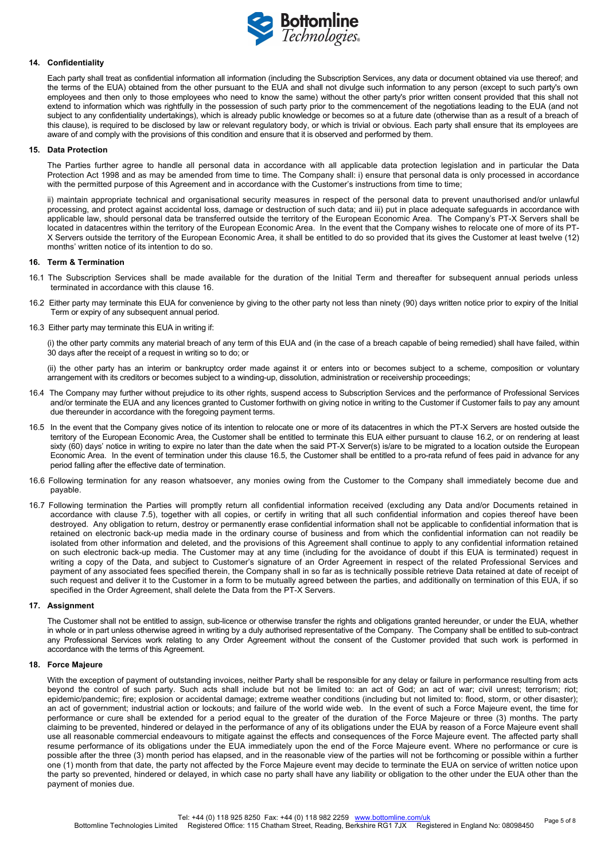

## **14. Confidentiality**

Each party shall treat as confidential information all information (including the Subscription Services, any data or document obtained via use thereof; and the terms of the EUA) obtained from the other pursuant to the EUA and shall not divulge such information to any person (except to such party's own employees and then only to those employees who need to know the same) without the other party's prior written consent provided that this shall not extend to information which was rightfully in the possession of such party prior to the commencement of the negotiations leading to the EUA (and not subject to any confidentiality undertakings), which is already public knowledge or becomes so at a future date (otherwise than as a result of a breach of this clause), is required to be disclosed by law or relevant regulatory body, or which is trivial or obvious. Each party shall ensure that its employees are aware of and comply with the provisions of this condition and ensure that it is observed and performed by them.

# **15. Data Protection**

The Parties further agree to handle all personal data in accordance with all applicable data protection legislation and in particular the Data Protection Act 1998 and as may be amended from time to time. The Company shall: i) ensure that personal data is only processed in accordance with the permitted purpose of this Agreement and in accordance with the Customer's instructions from time to time;

ii) maintain appropriate technical and organisational security measures in respect of the personal data to prevent unauthorised and/or unlawful processing, and protect against accidental loss, damage or destruction of such data; and iii) put in place adequate safeguards in accordance with applicable law, should personal data be transferred outside the territory of the European Economic Area. The Company's PT-X Servers shall be located in datacentres within the territory of the European Economic Area. In the event that the Company wishes to relocate one of more of its PT-X Servers outside the territory of the European Economic Area, it shall be entitled to do so provided that its gives the Customer at least twelve (12) months' written notice of its intention to do so.

# **16. Term & Termination**

- 16.1 The Subscription Services shall be made available for the duration of the Initial Term and thereafter for subsequent annual periods unless terminated in accordance with this clause 16.
- 16.2 Either party may terminate this EUA for convenience by giving to the other party not less than ninety (90) days written notice prior to expiry of the Initial Term or expiry of any subsequent annual period.
- 16.3 Either party may terminate this EUA in writing if:

(i) the other party commits any material breach of any term of this EUA and (in the case of a breach capable of being remedied) shall have failed, within 30 days after the receipt of a request in writing so to do; or

(ii) the other party has an interim or bankruptcy order made against it or enters into or becomes subject to a scheme, composition or voluntary arrangement with its creditors or becomes subject to a winding-up, dissolution, administration or receivership proceedings;

- 16.4 The Company may further without prejudice to its other rights, suspend access to Subscription Services and the performance of Professional Services and/or terminate the EUA and any licences granted to Customer forthwith on giving notice in writing to the Customer if Customer fails to pay any amount due thereunder in accordance with the foregoing payment terms.
- 16.5 In the event that the Company gives notice of its intention to relocate one or more of its datacentres in which the PT-X Servers are hosted outside the territory of the European Economic Area, the Customer shall be entitled to terminate this EUA either pursuant to clause 16.2, or on rendering at least sixty (60) days' notice in writing to expire no later than the date when the said PT-X Server(s) is/are to be migrated to a location outside the European Economic Area. In the event of termination under this clause 16.5, the Customer shall be entitled to a pro-rata refund of fees paid in advance for any period falling after the effective date of termination.
- 16.6 Following termination for any reason whatsoever, any monies owing from the Customer to the Company shall immediately become due and payable.
- 16.7 Following termination the Parties will promptly return all confidential information received (excluding any Data and/or Documents retained in accordance with clause 7.5), together with all copies, or certify in writing that all such confidential information and copies thereof have been destroyed. Any obligation to return, destroy or permanently erase confidential information shall not be applicable to confidential information that is retained on electronic back-up media made in the ordinary course of business and from which the confidential information can not readily be isolated from other information and deleted, and the provisions of this Agreement shall continue to apply to any confidential information retained on such electronic back-up media. The Customer may at any time (including for the avoidance of doubt if this EUA is terminated) request in writing a copy of the Data, and subject to Customer's signature of an Order Agreement in respect of the related Professional Services and payment of any associated fees specified therein, the Company shall in so far as is technically possible retrieve Data retained at date of receipt of such request and deliver it to the Customer in a form to be mutually agreed between the parties, and additionally on termination of this EUA, if so specified in the Order Agreement, shall delete the Data from the PT-X Servers.

#### **17. Assignment**

The Customer shall not be entitled to assign, sub-licence or otherwise transfer the rights and obligations granted hereunder, or under the EUA, whether in whole or in part unless otherwise agreed in writing by a duly authorised representative of the Company. The Company shall be entitled to sub-contract any Professional Services work relating to any Order Agreement without the consent of the Customer provided that such work is performed in accordance with the terms of this Agreement.

# **18. Force Majeure**

With the exception of payment of outstanding invoices, neither Party shall be responsible for any delay or failure in performance resulting from acts beyond the control of such party. Such acts shall include but not be limited to: an act of God; an act of war; civil unrest; terrorism; riot; epidemic/pandemic; fire; explosion or accidental damage; extreme weather conditions (including but not limited to: flood, storm, or other disaster); an act of government; industrial action or lockouts; and failure of the world wide web. In the event of such a Force Majeure event, the time for performance or cure shall be extended for a period equal to the greater of the duration of the Force Majeure or three (3) months. The party claiming to be prevented, hindered or delayed in the performance of any of its obligations under the EUA by reason of a Force Majeure event shall use all reasonable commercial endeavours to mitigate against the effects and consequences of the Force Majeure event. The affected party shall resume performance of its obligations under the EUA immediately upon the end of the Force Majeure event. Where no performance or cure is possible after the three (3) month period has elapsed, and in the reasonable view of the parties will not be forthcoming or possible within a further one (1) month from that date, the party not affected by the Force Majeure event may decide to terminate the EUA on service of written notice upon the party so prevented, hindered or delayed, in which case no party shall have any liability or obligation to the other under the EUA other than the payment of monies due.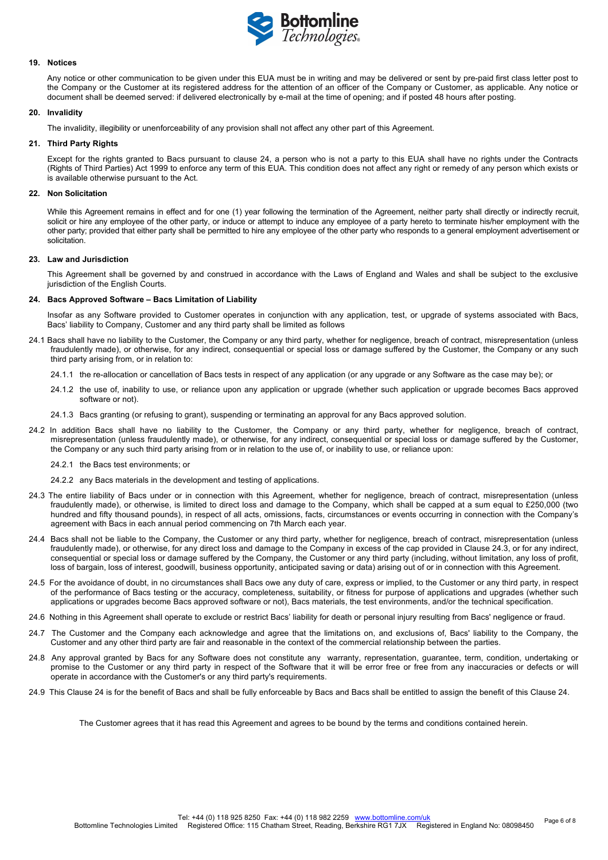

#### **19. Notices**

Any notice or other communication to be given under this EUA must be in writing and may be delivered or sent by pre-paid first class letter post to the Company or the Customer at its registered address for the attention of an officer of the Company or Customer, as applicable. Any notice or document shall be deemed served: if delivered electronically by e-mail at the time of opening; and if posted 48 hours after posting.

## **20. Invalidity**

The invalidity, illegibility or unenforceability of any provision shall not affect any other part of this Agreement.

## **21. Third Party Rights**

Except for the rights granted to Bacs pursuant to clause 24, a person who is not a party to this EUA shall have no rights under the Contracts (Rights of Third Parties) Act 1999 to enforce any term of this EUA. This condition does not affect any right or remedy of any person which exists or is available otherwise pursuant to the Act.

## **22. Non Solicitation**

While this Agreement remains in effect and for one (1) year following the termination of the Agreement, neither party shall directly or indirectly recruit, solicit or hire any employee of the other party, or induce or attempt to induce any employee of a party hereto to terminate his/her employment with the other party; provided that either party shall be permitted to hire any employee of the other party who responds to a general employment advertisement or solicitation.

### **23. Law and Jurisdiction**

This Agreement shall be governed by and construed in accordance with the Laws of England and Wales and shall be subject to the exclusive jurisdiction of the English Courts.

### **24. Bacs Approved Software – Bacs Limitation of Liability**

Insofar as any Software provided to Customer operates in conjunction with any application, test, or upgrade of systems associated with Bacs, Bacs' liability to Company, Customer and any third party shall be limited as follows

- 24.1 Bacs shall have no liability to the Customer, the Company or any third party, whether for negligence, breach of contract, misrepresentation (unless fraudulently made), or otherwise, for any indirect, consequential or special loss or damage suffered by the Customer, the Company or any such third party arising from, or in relation to:
	- 24.1.1 the re-allocation or cancellation of Bacs tests in respect of any application (or any upgrade or any Software as the case may be); or
	- 24.1.2 the use of, inability to use, or reliance upon any application or upgrade (whether such application or upgrade becomes Bacs approved software or not).
	- 24.1.3 Bacs granting (or refusing to grant), suspending or terminating an approval for any Bacs approved solution.
- 24.2 In addition Bacs shall have no liability to the Customer, the Company or any third party, whether for negligence, breach of contract, misrepresentation (unless fraudulently made), or otherwise, for any indirect, consequential or special loss or damage suffered by the Customer, the Company or any such third party arising from or in relation to the use of, or inability to use, or reliance upon:
	- 24.2.1 the Bacs test environments; or
	- 24.2.2 any Bacs materials in the development and testing of applications.
- 24.3 The entire liability of Bacs under or in connection with this Agreement, whether for negligence, breach of contract, misrepresentation (unless fraudulently made), or otherwise, is limited to direct loss and damage to the Company, which shall be capped at a sum equal to £250,000 (two hundred and fifty thousand pounds), in respect of all acts, omissions, facts, circumstances or events occurring in connection with the Company's agreement with Bacs in each annual period commencing on 7th March each year.
- 24.4 Bacs shall not be liable to the Company, the Customer or any third party, whether for negligence, breach of contract, misrepresentation (unless fraudulently made), or otherwise, for any direct loss and damage to the Company in excess of the cap provided in Clause 24.3, or for any indirect, consequential or special loss or damage suffered by the Company, the Customer or any third party (including, without limitation, any loss of profit, loss of bargain, loss of interest, goodwill, business opportunity, anticipated saving or data) arising out of or in connection with this Agreement.
- 24.5 For the avoidance of doubt, in no circumstances shall Bacs owe any duty of care, express or implied, to the Customer or any third party, in respect of the performance of Bacs testing or the accuracy, completeness, suitability, or fitness for purpose of applications and upgrades (whether such applications or upgrades become Bacs approved software or not), Bacs materials, the test environments, and/or the technical specification.
- 24.6 Nothing in this Agreement shall operate to exclude or restrict Bacs' liability for death or personal injury resulting from Bacs' negligence or fraud.
- 24.7 The Customer and the Company each acknowledge and agree that the limitations on, and exclusions of, Bacs' liability to the Company, the Customer and any other third party are fair and reasonable in the context of the commercial relationship between the parties.
- 24.8 Any approval granted by Bacs for any Software does not constitute any warranty, representation, guarantee, term, condition, undertaking or promise to the Customer or any third party in respect of the Software that it will be error free or free from any inaccuracies or defects or will operate in accordance with the Customer's or any third party's requirements.
- 24.9 This Clause 24 is for the benefit of Bacs and shall be fully enforceable by Bacs and Bacs shall be entitled to assign the benefit of this Clause 24.

The Customer agrees that it has read this Agreement and agrees to be bound by the terms and conditions contained herein.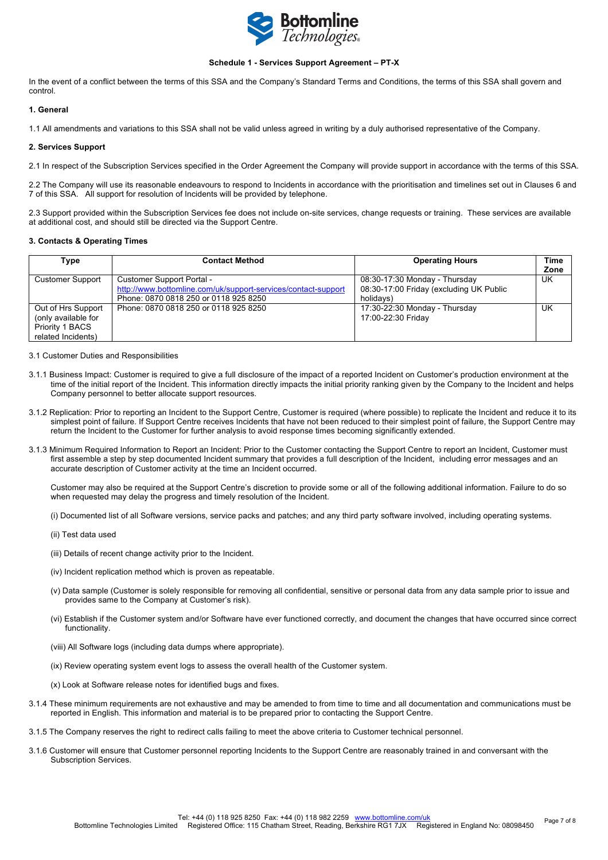

# **Schedule 1 - Services Support Agreement – PT-X**

In the event of a conflict between the terms of this SSA and the Company's Standard Terms and Conditions, the terms of this SSA shall govern and control.

# **1. General**

1.1 All amendments and variations to this SSA shall not be valid unless agreed in writing by a duly authorised representative of the Company.

#### **2. Services Support**

2.1 In respect of the Subscription Services specified in the Order Agreement the Company will provide support in accordance with the terms of this SSA.

2.2 The Company will use its reasonable endeavours to respond to Incidents in accordance with the prioritisation and timelines set out in Clauses 6 and 7 of this SSA. All support for resolution of Incidents will be provided by telephone.

2.3 Support provided within the Subscription Services fee does not include on-site services, change requests or training. These services are available at additional cost, and should still be directed via the Support Centre.

### **3. Contacts & Operating Times**

| Type                    | <b>Contact Method</b>                                         | <b>Operating Hours</b>                  | Time      |
|-------------------------|---------------------------------------------------------------|-----------------------------------------|-----------|
|                         |                                                               |                                         | Zone      |
| <b>Customer Support</b> | Customer Support Portal -                                     | 08:30-17:30 Monday - Thursday           | <b>UK</b> |
|                         | http://www.bottomline.com/uk/support-services/contact-support | 08:30-17:00 Friday (excluding UK Public |           |
|                         | Phone: 0870 0818 250 or 0118 925 8250                         | holidavs)                               |           |
| Out of Hrs Support      | Phone: 0870 0818 250 or 0118 925 8250                         | 17:30-22:30 Monday - Thursday           | UK        |
| (only available for     |                                                               | 17:00-22:30 Friday                      |           |
| Priority 1 BACS         |                                                               |                                         |           |
| related Incidents)      |                                                               |                                         |           |

#### 3.1 Customer Duties and Responsibilities

- 3.1.1 Business Impact: Customer is required to give a full disclosure of the impact of a reported Incident on Customer's production environment at the time of the initial report of the Incident. This information directly impacts the initial priority ranking given by the Company to the Incident and helps Company personnel to better allocate support resources.
- 3.1.2 Replication: Prior to reporting an Incident to the Support Centre, Customer is required (where possible) to replicate the Incident and reduce it to its simplest point of failure. If Support Centre receives Incidents that have not been reduced to their simplest point of failure, the Support Centre may return the Incident to the Customer for further analysis to avoid response times becoming significantly extended.
- 3.1.3 Minimum Required Information to Report an Incident: Prior to the Customer contacting the Support Centre to report an Incident, Customer must first assemble a step by step documented Incident summary that provides a full description of the Incident, including error messages and an accurate description of Customer activity at the time an Incident occurred.

Customer may also be required at the Support Centre's discretion to provide some or all of the following additional information. Failure to do so when requested may delay the progress and timely resolution of the Incident.

(i) Documented list of all Software versions, service packs and patches; and any third party software involved, including operating systems.

- (ii) Test data used
- (iii) Details of recent change activity prior to the Incident.
- (iv) Incident replication method which is proven as repeatable.
- (v) Data sample (Customer is solely responsible for removing all confidential, sensitive or personal data from any data sample prior to issue and provides same to the Company at Customer's risk).
- (vi) Establish if the Customer system and/or Software have ever functioned correctly, and document the changes that have occurred since correct functionality.
- (viii) All Software logs (including data dumps where appropriate).
- (ix) Review operating system event logs to assess the overall health of the Customer system.
- (x) Look at Software release notes for identified bugs and fixes.
- 3.1.4 These minimum requirements are not exhaustive and may be amended to from time to time and all documentation and communications must be reported in English. This information and material is to be prepared prior to contacting the Support Centre.
- 3.1.5 The Company reserves the right to redirect calls failing to meet the above criteria to Customer technical personnel.
- 3.1.6 Customer will ensure that Customer personnel reporting Incidents to the Support Centre are reasonably trained in and conversant with the Subscription Services.